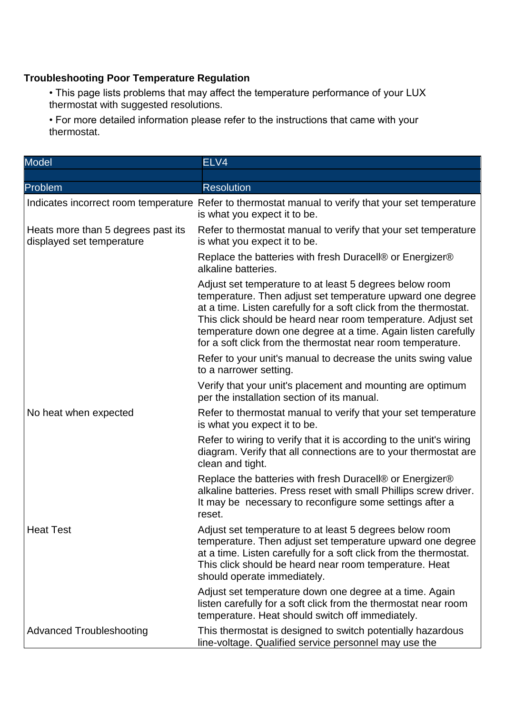## **Troubleshooting Poor Temperature Regulation**

• This page lists problems that may affect the temperature performance of your LUX thermostat with suggested resolutions.

• For more detailed information please refer to the instructions that came with your thermostat.

| <b>Model</b>                                                    | ELV4                                                                                                                                                                                                                                                                                                                                                                                       |
|-----------------------------------------------------------------|--------------------------------------------------------------------------------------------------------------------------------------------------------------------------------------------------------------------------------------------------------------------------------------------------------------------------------------------------------------------------------------------|
|                                                                 |                                                                                                                                                                                                                                                                                                                                                                                            |
| Problem                                                         | <b>Resolution</b>                                                                                                                                                                                                                                                                                                                                                                          |
|                                                                 | Indicates incorrect room temperature Refer to thermostat manual to verify that your set temperature<br>is what you expect it to be.                                                                                                                                                                                                                                                        |
| Heats more than 5 degrees past its<br>displayed set temperature | Refer to thermostat manual to verify that your set temperature<br>is what you expect it to be.                                                                                                                                                                                                                                                                                             |
|                                                                 | Replace the batteries with fresh Duracell® or Energizer®<br>alkaline batteries.                                                                                                                                                                                                                                                                                                            |
|                                                                 | Adjust set temperature to at least 5 degrees below room<br>temperature. Then adjust set temperature upward one degree<br>at a time. Listen carefully for a soft click from the thermostat.<br>This click should be heard near room temperature. Adjust set<br>temperature down one degree at a time. Again listen carefully<br>for a soft click from the thermostat near room temperature. |
|                                                                 | Refer to your unit's manual to decrease the units swing value<br>to a narrower setting.                                                                                                                                                                                                                                                                                                    |
|                                                                 | Verify that your unit's placement and mounting are optimum<br>per the installation section of its manual.                                                                                                                                                                                                                                                                                  |
| No heat when expected                                           | Refer to thermostat manual to verify that your set temperature<br>is what you expect it to be.                                                                                                                                                                                                                                                                                             |
|                                                                 | Refer to wiring to verify that it is according to the unit's wiring<br>diagram. Verify that all connections are to your thermostat are<br>clean and tight.                                                                                                                                                                                                                                 |
|                                                                 | Replace the batteries with fresh Duracell® or Energizer®<br>alkaline batteries. Press reset with small Phillips screw driver.<br>It may be necessary to reconfigure some settings after a<br>reset.                                                                                                                                                                                        |
| <b>Heat Test</b>                                                | Adjust set temperature to at least 5 degrees below room<br>temperature. Then adjust set temperature upward one degree<br>at a time. Listen carefully for a soft click from the thermostat.<br>This click should be heard near room temperature. Heat<br>should operate immediately.                                                                                                        |
|                                                                 | Adjust set temperature down one degree at a time. Again<br>listen carefully for a soft click from the thermostat near room<br>temperature. Heat should switch off immediately.                                                                                                                                                                                                             |
| <b>Advanced Troubleshooting</b>                                 | This thermostat is designed to switch potentially hazardous<br>line-voltage. Qualified service personnel may use the                                                                                                                                                                                                                                                                       |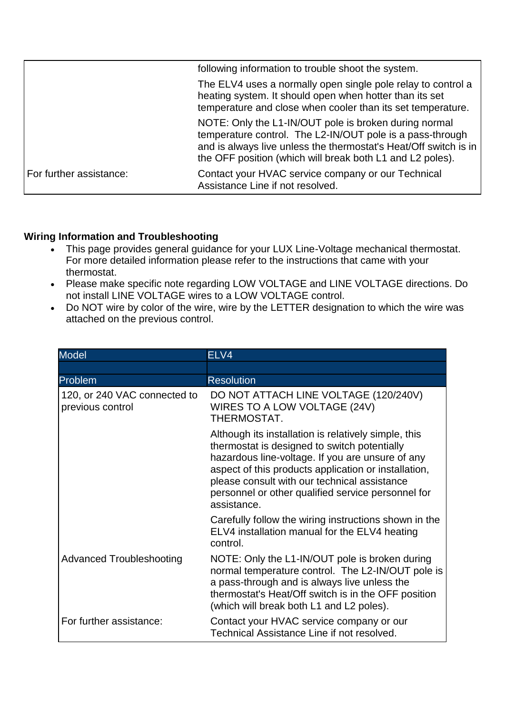|                         | following information to trouble shoot the system.                                                                                                                                                                                                  |
|-------------------------|-----------------------------------------------------------------------------------------------------------------------------------------------------------------------------------------------------------------------------------------------------|
|                         | The ELV4 uses a normally open single pole relay to control a<br>heating system. It should open when hotter than its set<br>temperature and close when cooler than its set temperature.                                                              |
|                         | NOTE: Only the L1-IN/OUT pole is broken during normal<br>temperature control. The L2-IN/OUT pole is a pass-through<br>and is always live unless the thermostat's Heat/Off switch is in<br>the OFF position (which will break both L1 and L2 poles). |
| For further assistance: | Contact your HVAC service company or our Technical<br>Assistance Line if not resolved.                                                                                                                                                              |

## **Wiring Information and Troubleshooting**

- This page provides general guidance for your LUX Line-Voltage mechanical thermostat. For more detailed information please refer to the instructions that came with your thermostat.
- Please make specific note regarding LOW VOLTAGE and LINE VOLTAGE directions. Do not install LINE VOLTAGE wires to a LOW VOLTAGE control.
- Do NOT wire by color of the wire, wire by the LETTER designation to which the wire was attached on the previous control.

| <b>Model</b>                                     | ELV4                                                                                                                                                                                                                                                                                                                                  |
|--------------------------------------------------|---------------------------------------------------------------------------------------------------------------------------------------------------------------------------------------------------------------------------------------------------------------------------------------------------------------------------------------|
|                                                  |                                                                                                                                                                                                                                                                                                                                       |
| Problem                                          | <b>Resolution</b>                                                                                                                                                                                                                                                                                                                     |
| 120, or 240 VAC connected to<br>previous control | DO NOT ATTACH LINE VOLTAGE (120/240V)<br>WIRES TO A LOW VOLTAGE (24V)<br>THERMOSTAT.                                                                                                                                                                                                                                                  |
|                                                  | Although its installation is relatively simple, this<br>thermostat is designed to switch potentially<br>hazardous line-voltage. If you are unsure of any<br>aspect of this products application or installation,<br>please consult with our technical assistance<br>personnel or other qualified service personnel for<br>assistance. |
|                                                  | Carefully follow the wiring instructions shown in the<br>ELV4 installation manual for the ELV4 heating<br>control.                                                                                                                                                                                                                    |
| <b>Advanced Troubleshooting</b>                  | NOTE: Only the L1-IN/OUT pole is broken during<br>normal temperature control. The L2-IN/OUT pole is<br>a pass-through and is always live unless the<br>thermostat's Heat/Off switch is in the OFF position<br>(which will break both L1 and L2 poles).                                                                                |
| For further assistance:                          | Contact your HVAC service company or our<br>Technical Assistance Line if not resolved.                                                                                                                                                                                                                                                |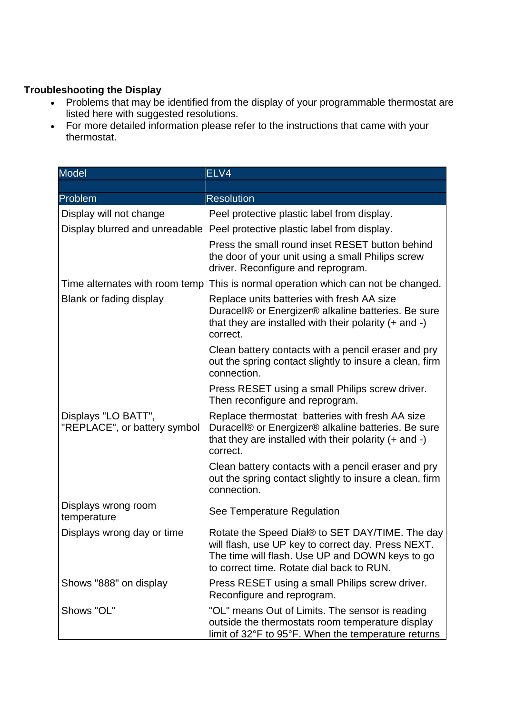## **Troubleshooting the Display**

- Problems that may be identified from the display of your programmable thermostat are listed here with suggested resolutions.
- For more detailed information please refer to the instructions that came with your thermostat.

| <b>Model</b>                                        | ELV4                                                                                                                                                                                                  |
|-----------------------------------------------------|-------------------------------------------------------------------------------------------------------------------------------------------------------------------------------------------------------|
|                                                     |                                                                                                                                                                                                       |
| Problem                                             | <b>Resolution</b>                                                                                                                                                                                     |
| Display will not change                             | Peel protective plastic label from display.                                                                                                                                                           |
|                                                     | Display blurred and unreadable Peel protective plastic label from display.                                                                                                                            |
|                                                     | Press the small round inset RESET button behind<br>the door of your unit using a small Philips screw<br>driver. Reconfigure and reprogram.                                                            |
|                                                     | Time alternates with room temp This is normal operation which can not be changed.                                                                                                                     |
| Blank or fading display                             | Replace units batteries with fresh AA size<br>Duracell® or Energizer® alkaline batteries. Be sure<br>that they are installed with their polarity $(+)$ and $-)$<br>correct.                           |
|                                                     | Clean battery contacts with a pencil eraser and pry<br>out the spring contact slightly to insure a clean, firm<br>connection.                                                                         |
|                                                     | Press RESET using a small Philips screw driver.<br>Then reconfigure and reprogram.                                                                                                                    |
| Displays "LO BATT",<br>"REPLACE", or battery symbol | Replace thermostat batteries with fresh AA size<br>Duracell® or Energizer® alkaline batteries. Be sure<br>that they are installed with their polarity $(+)$ and $-)$<br>correct.                      |
|                                                     | Clean battery contacts with a pencil eraser and pry<br>out the spring contact slightly to insure a clean, firm<br>connection.                                                                         |
| Displays wrong room<br>temperature                  | See Temperature Regulation                                                                                                                                                                            |
| Displays wrong day or time                          | Rotate the Speed Dial® to SET DAY/TIME. The day<br>will flash, use UP key to correct day. Press NEXT.<br>The time will flash. Use UP and DOWN keys to go<br>to correct time. Rotate dial back to RUN. |
| Shows "888" on display                              | Press RESET using a small Philips screw driver.<br>Reconfigure and reprogram.                                                                                                                         |
| Shows "OL"                                          | "OL" means Out of Limits. The sensor is reading<br>outside the thermostats room temperature display<br>limit of 32°F to 95°F. When the temperature returns                                            |